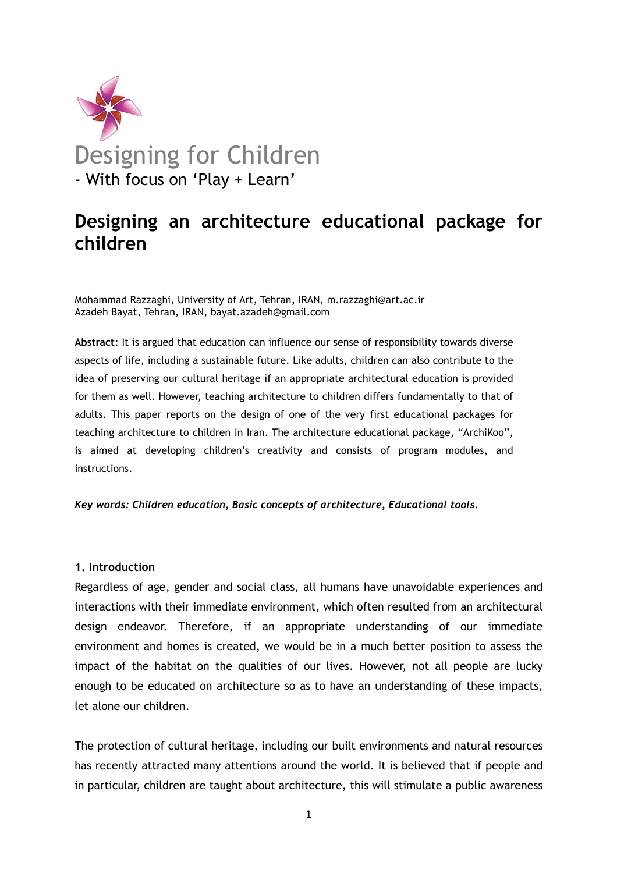

# Designing an architecture educational package for children

Mohammad Razzaghi, University of Art, Tehran, IRAN, m.razzaghi@art.ac.ir Azadeh Bayat, Tehran, IRAN, bayat.azadeh@gmail.com

Abstract: It is argued that education can influence our sense of responsibility towards diverse aspects of life, including a sustainable future. Like adults, children can also contribute to the idea of preserving our cultural heritage if an appropriate architectural education is provided for them as well. However, teaching architecture to children differs fundamentally to that of adults. This paper reports on the design of one of the very first educational packages for teaching architecture to children in Iran. The architecture educational package, "ArchiKoo", is aimed at developing children's creativity and consists of program modules, and instructions.

#### Key words: Children education, Basic concepts of architecture, Educational tools.

# 1. Introduction

Regardless of age, gender and social class, all humans have unavoidable experiences and interactions with their immediate environment, which often resulted from an architectural design endeavor. Therefore, if an appropriate understanding of our immediate environment and homes is created, we would be in a much better position to assess the impact of the habitat on the qualities of our lives. However, not all people are lucky enough to be educated on architecture so as to have an understanding of these impacts, let alone our children.

The protection of cultural heritage, including our built environments and natural resources has recently attracted many attentions around the world. It is believed that if people and in particular, children are taught about architecture, this will stimulate a public awareness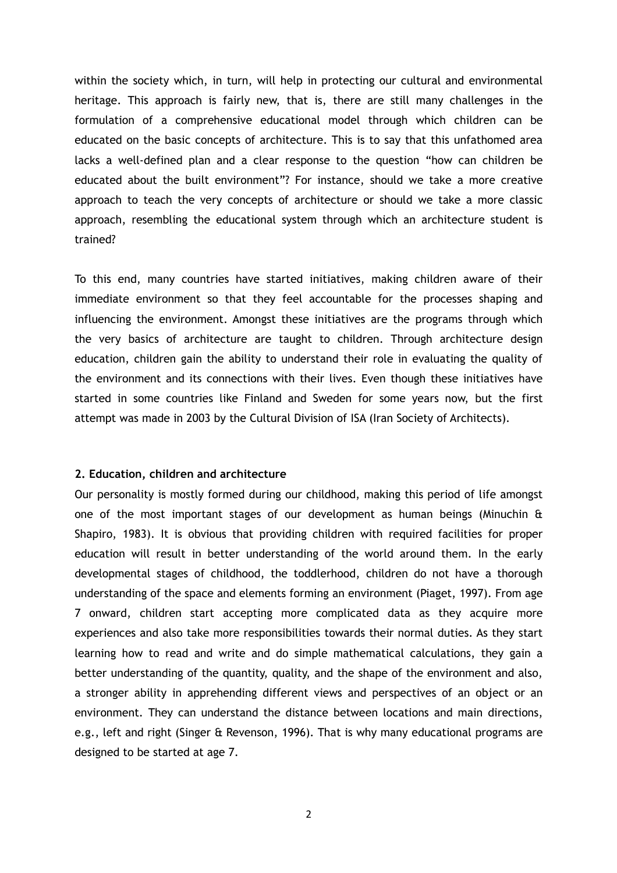within the society which, in turn, will help in protecting our cultural and environmental heritage. This approach is fairly new, that is, there are still many challenges in the formulation of a comprehensive educational model through which children can be educated on the basic concepts of architecture. This is to say that this unfathomed area lacks a well-defined plan and a clear response to the question "how can children be educated about the built environment"? For instance, should we take a more creative approach to teach the very concepts of architecture or should we take a more classic approach, resembling the educational system through which an architecture student is trained?

To this end, many countries have started initiatives, making children aware of their immediate environment so that they feel accountable for the processes shaping and influencing the environment. Amongst these initiatives are the programs through which the very basics of architecture are taught to children. Through architecture design education, children gain the ability to understand their role in evaluating the quality of the environment and its connections with their lives. Even though these initiatives have started in some countries like Finland and Sweden for some years now, but the first attempt was made in 2003 by the Cultural Division of ISA (Iran Society of Architects).

## 2. Education, children and architecture

Our personality is mostly formed during our childhood, making this period of life amongst one of the most important stages of our development as human beings (Minuchin & Shapiro, 1983). It is obvious that providing children with required facilities for proper education will result in better understanding of the world around them. In the early developmental stages of childhood, the toddlerhood, children do not have a thorough understanding of the space and elements forming an environment (Piaget, 1997). From age 7 onward, children start accepting more complicated data as they acquire more experiences and also take more responsibilities towards their normal duties. As they start learning how to read and write and do simple mathematical calculations, they gain a better understanding of the quantity, quality, and the shape of the environment and also, a stronger ability in apprehending different views and perspectives of an object or an environment. They can understand the distance between locations and main directions, e.g., left and right (Singer & Revenson, 1996). That is why many educational programs are designed to be started at age 7.

2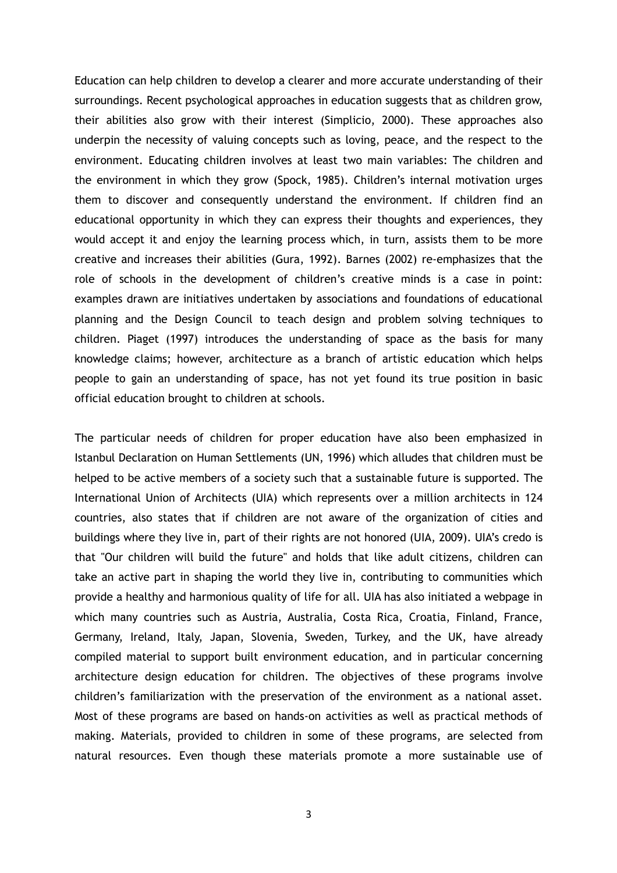Education can help children to develop a clearer and more accurate understanding of their surroundings. Recent psychological approaches in education suggests that as children grow, their abilities also grow with their interest (Simplicio, 2000). These approaches also underpin the necessity of valuing concepts such as loving, peace, and the respect to the environment. Educating children involves at least two main variables: The children and the environment in which they grow (Spock, 1985). Children's internal motivation urges them to discover and consequently understand the environment. If children find an educational opportunity in which they can express their thoughts and experiences, they would accept it and enjoy the learning process which, in turn, assists them to be more creative and increases their abilities (Gura, 1992). Barnes (2002) re-emphasizes that the role of schools in the development of children's creative minds is a case in point: examples drawn are initiatives undertaken by associations and foundations of educational planning and the Design Council to teach design and problem solving techniques to children. Piaget (1997) introduces the understanding of space as the basis for many knowledge claims; however, architecture as a branch of artistic education which helps people to gain an understanding of space, has not yet found its true position in basic official education brought to children at schools.

The particular needs of children for proper education have also been emphasized in Istanbul Declaration on Human Settlements (UN, 1996) which alludes that children must be helped to be active members of a society such that a sustainable future is supported. The International Union of Architects (UIA) which represents over a million architects in 124 countries, also states that if children are not aware of the organization of cities and buildings where they live in, part of their rights are not honored (UIA, 2009). UIA's credo is that "Our children will build the future" and holds that like adult citizens, children can take an active part in shaping the world they live in, contributing to communities which provide a healthy and harmonious quality of life for all. UIA has also initiated a webpage in which many countries such as Austria, Australia, Costa Rica, Croatia, Finland, France, Germany, Ireland, Italy, Japan, Slovenia, Sweden, Turkey, and the UK, have already compiled material to support built environment education, and in particular concerning architecture design education for children. The objectives of these programs involve children's familiarization with the preservation of the environment as a national asset. Most of these programs are based on hands-on activities as well as practical methods of making. Materials, provided to children in some of these programs, are selected from natural resources. Even though these materials promote a more sustainable use of

3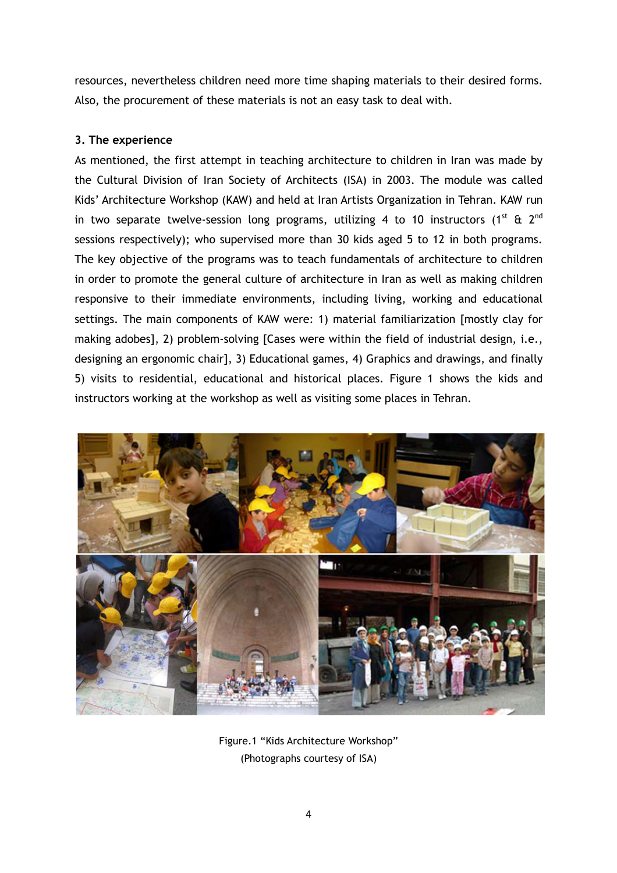resources, nevertheless children need more time shaping materials to their desired forms. Also, the procurement of these materials is not an easy task to deal with.

# 3. The experience

As mentioned, the first attempt in teaching architecture to children in Iran was made by the Cultural Division of Iran Society of Architects (ISA) in 2003. The module was called Kids' Architecture Workshop (KAW) and held at Iran Artists Organization in Tehran. KAW run in two separate twelve-session long programs, utilizing 4 to 10 instructors (1<sup>st</sup> & 2<sup>nd</sup> sessions respectively); who supervised more than 30 kids aged 5 to 12 in both programs. The key objective of the programs was to teach fundamentals of architecture to children in order to promote the general culture of architecture in Iran as well as making children responsive to their immediate environments, including living, working and educational settings. The main components of KAW were: 1) material familiarization [mostly clay for making adobes], 2) problem-solving [Cases were within the field of industrial design, i.e., designing an ergonomic chair], 3) Educational games, 4) Graphics and drawings, and finally 5) visits to residential, educational and historical places. Figure 1 shows the kids and instructors working at the workshop as well as visiting some places in Tehran.



Figure.1 "Kids Architecture Workshop" (Photographs courtesy of ISA)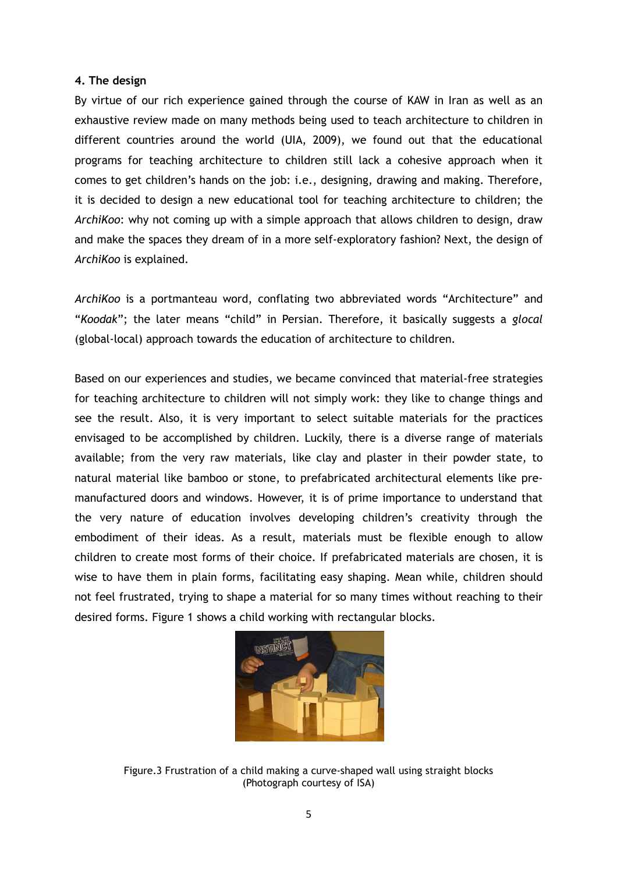# 4. The design

By virtue of our rich experience gained through the course of KAW in Iran as well as an exhaustive review made on many methods being used to teach architecture to children in different countries around the world (UIA, 2009), we found out that the educational programs for teaching architecture to children still lack a cohesive approach when it comes to get children's hands on the job: i.e., designing, drawing and making. Therefore, it is decided to design a new educational tool for teaching architecture to children; the ArchiKoo: why not coming up with a simple approach that allows children to design, draw and make the spaces they dream of in a more self-exploratory fashion? Next, the design of ArchiKoo is explained.

ArchiKoo is a portmanteau word, conflating two abbreviated words "Architecture" and "Koodak"; the later means "child" in Persian. Therefore, it basically suggests a glocal (global-local) approach towards the education of architecture to children.

Based on our experiences and studies, we became convinced that material-free strategies for teaching architecture to children will not simply work: they like to change things and see the result. Also, it is very important to select suitable materials for the practices envisaged to be accomplished by children. Luckily, there is a diverse range of materials available; from the very raw materials, like clay and plaster in their powder state, to natural material like bamboo or stone, to prefabricated architectural elements like premanufactured doors and windows. However, it is of prime importance to understand that the very nature of education involves developing children's creativity through the embodiment of their ideas. As a result, materials must be flexible enough to allow children to create most forms of their choice. If prefabricated materials are chosen, it is wise to have them in plain forms, facilitating easy shaping. Mean while, children should not feel frustrated, trying to shape a material for so many times without reaching to their desired forms. Figure 1 shows a child working with rectangular blocks.



Figure.3 Frustration of a child making a curve-shaped wall using straight blocks (Photograph courtesy of ISA)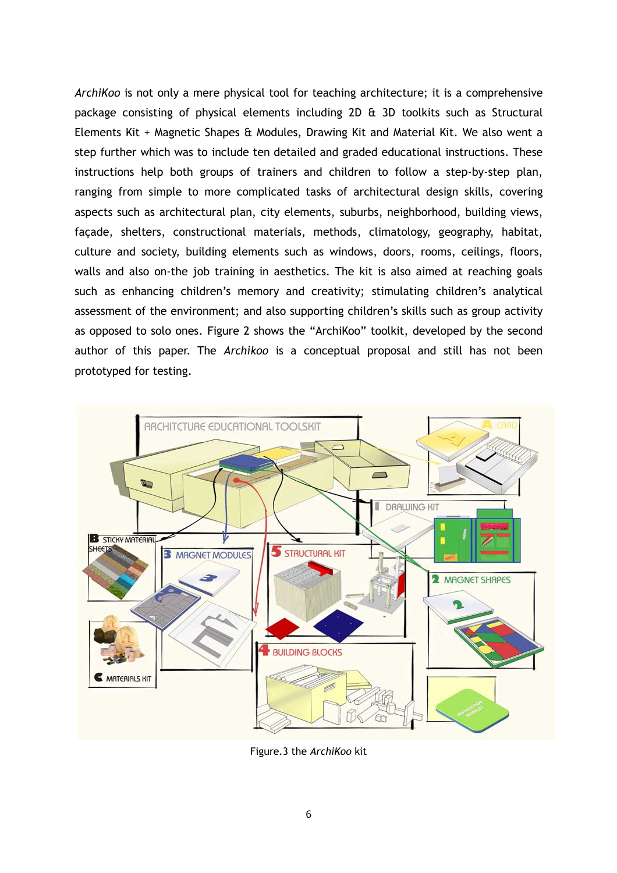ArchiKoo is not only a mere physical tool for teaching architecture; it is a comprehensive package consisting of physical elements including 2D & 3D toolkits such as Structural Elements Kit + Magnetic Shapes & Modules, Drawing Kit and Material Kit. We also went a step further which was to include ten detailed and graded educational instructions. These instructions help both groups of trainers and children to follow a step-by-step plan, ranging from simple to more complicated tasks of architectural design skills, covering aspects such as architectural plan, city elements, suburbs, neighborhood, building views, façade, shelters, constructional materials, methods, climatology, geography, habitat, culture and society, building elements such as windows, doors, rooms, ceilings, floors, walls and also on-the job training in aesthetics. The kit is also aimed at reaching goals such as enhancing children's memory and creativity; stimulating children's analytical assessment of the environment; and also supporting children's skills such as group activity as opposed to solo ones. Figure 2 shows the "ArchiKoo" toolkit, developed by the second author of this paper. The Archikoo is a conceptual proposal and still has not been prototyped for testing.



Figure.3 the ArchiKoo kit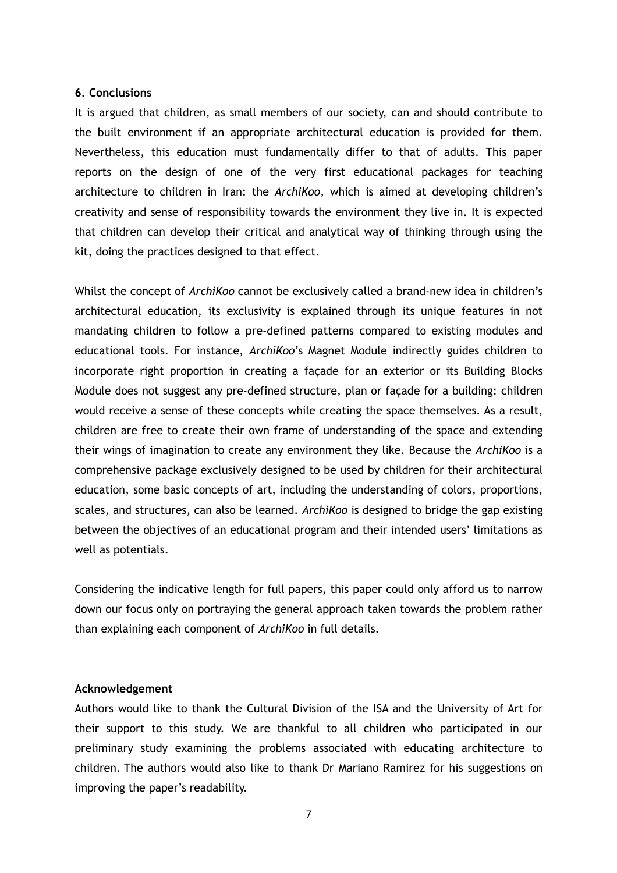## 6. Conclusions

It is argued that children, as small members of our society, can and should contribute to the built environment if an appropriate architectural education is provided for them. Nevertheless, this education must fundamentally differ to that of adults. This paper reports on the design of one of the very first educational packages for teaching architecture to children in Iran: the ArchiKoo, which is aimed at developing children's creativity and sense of responsibility towards the environment they live in. It is expected that children can develop their critical and analytical way of thinking through using the kit, doing the practices designed to that effect.

Whilst the concept of ArchiKoo cannot be exclusively called a brand-new idea in children's architectural education, its exclusivity is explained through its unique features in not mandating children to follow a pre-defined patterns compared to existing modules and educational tools. For instance, ArchiKoo's Magnet Module indirectly guides children to incorporate right proportion in creating a façade for an exterior or its Building Blocks Module does not suggest any pre-defined structure, plan or façade for a building: children would receive a sense of these concepts while creating the space themselves. As a result, children are free to create their own frame of understanding of the space and extending their wings of imagination to create any environment they like. Because the ArchiKoo is a comprehensive package exclusively designed to be used by children for their architectural education, some basic concepts of art, including the understanding of colors, proportions, scales, and structures, can also be learned. ArchiKoo is designed to bridge the gap existing between the objectives of an educational program and their intended users' limitations as well as potentials.

Considering the indicative length for full papers, this paper could only afford us to narrow down our focus only on portraying the general approach taken towards the problem rather than explaining each component of ArchiKoo in full details.

## Acknowledgement

Authors would like to thank the Cultural Division of the ISA and the University of Art for their support to this study. We are thankful to all children who participated in our preliminary study examining the problems associated with educating architecture to children. The authors would also like to thank Dr Mariano Ramirez for his suggestions on improving the paper's readability.